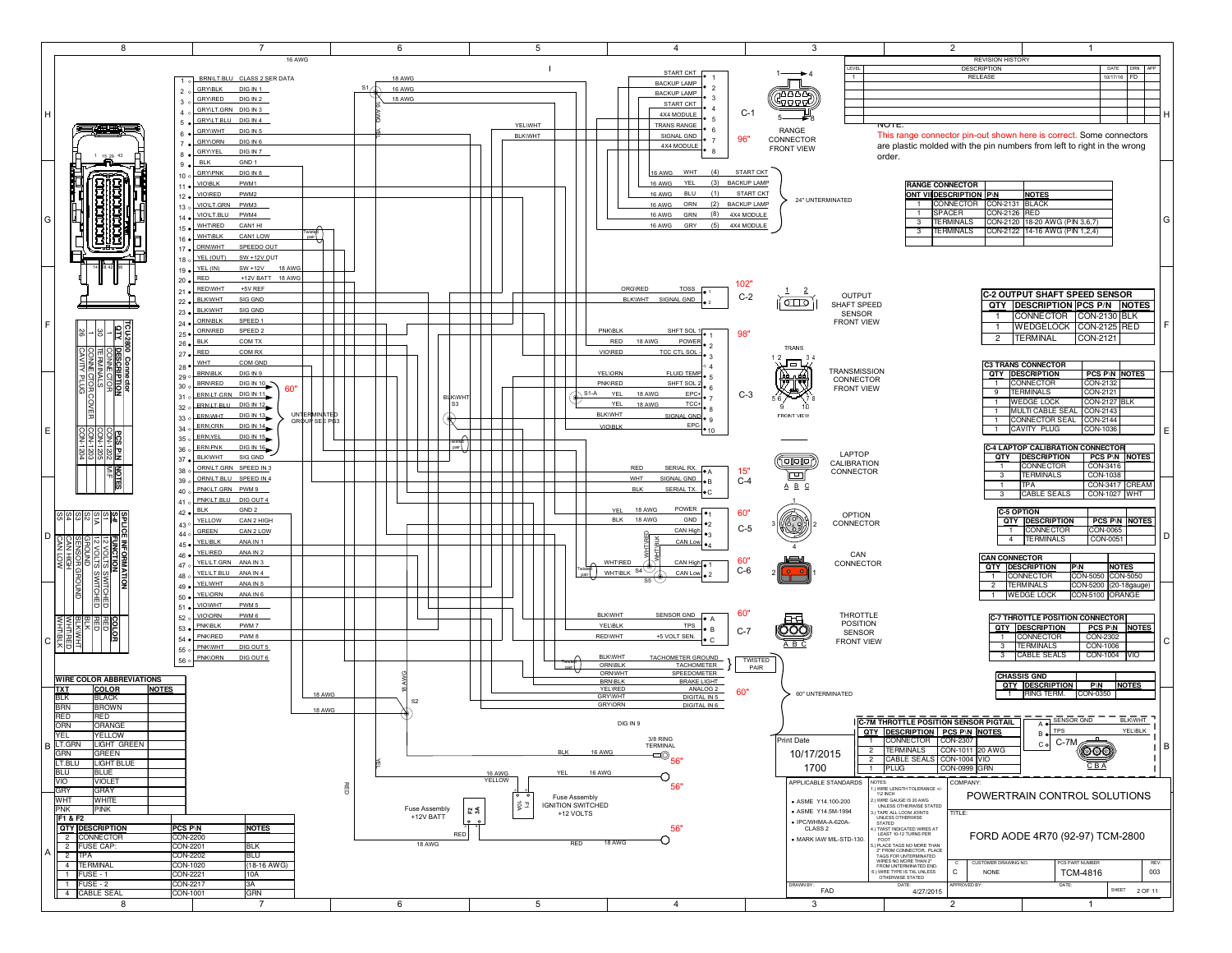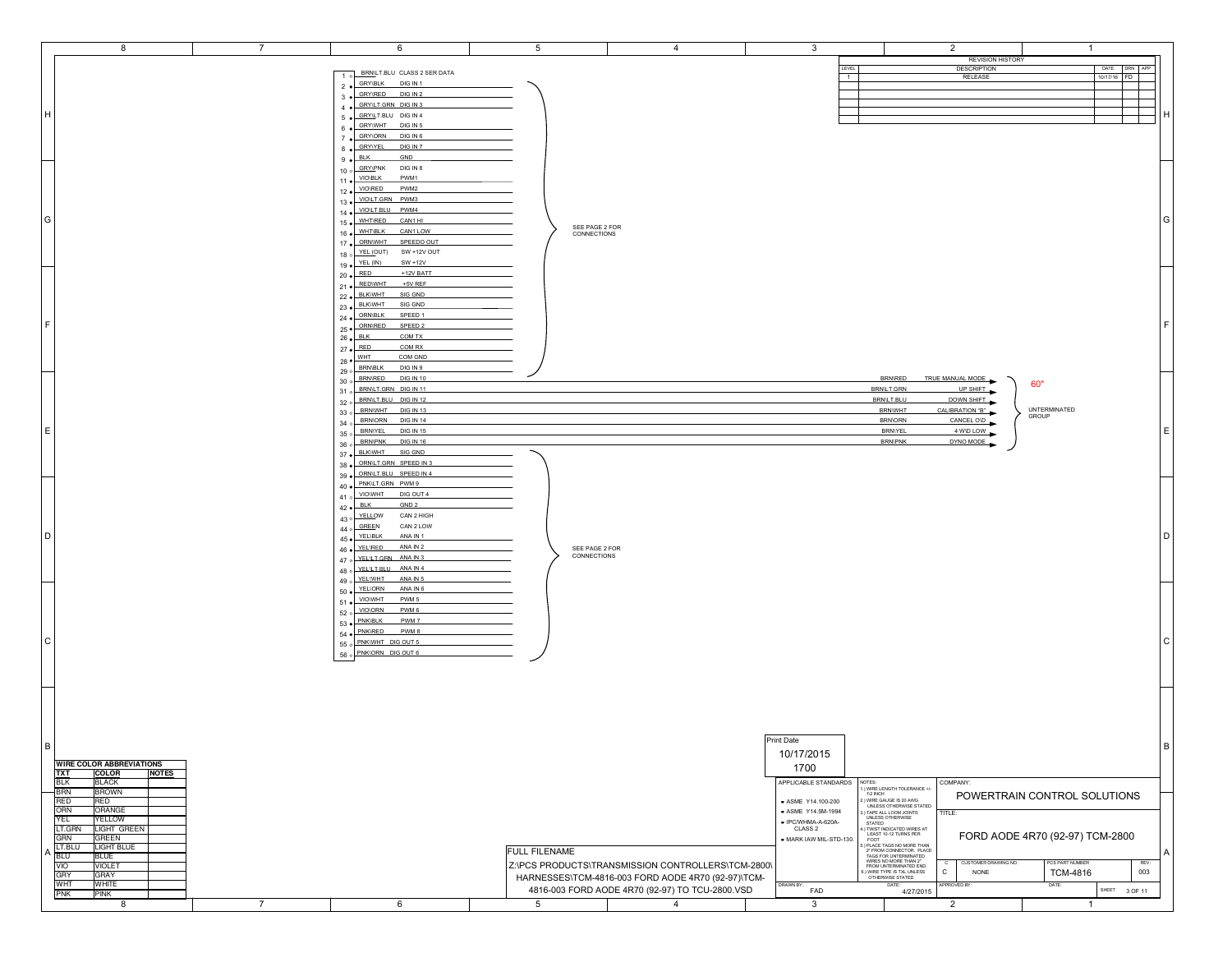